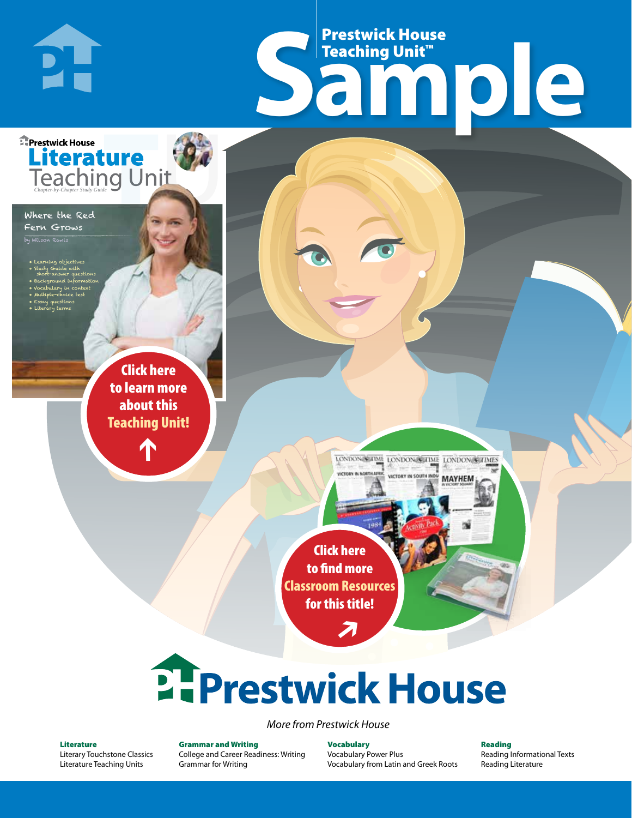## Frestwick House<br>
Sample **Prestwick House**<br>Teaching Unit™ Teaching Unit™

LONDON-SCITME LONDON/SCITME LONDON/SCITMES

MAYHEM

r e o r d e r n o . x x x x x x Click here to learn more about this [Teaching Unit!](https://www.prestwickhouse.com/pdf/id-201239/Where_the_Red_Fern_Grows_-_Downloadable_Teaching_Unit)

**A Tale of Two Cities**

**Literature** 

CHARLES DICKENS

• Learning objectives • Study Guide with short-answer questions • Background information • Vocabulary in context • Multiple-choice test • Essay questions • Literary terms

Where the Red Fern Grows n Rawls

**E** Prestwick House

**PH** 

 $\mathbf{T}$ 

1

Click here to find more [Classroom Resources](http://teaching-english.prestwickhouse.com/search#w=where%20the%20red%20fern%20grows)  for this title!

 $\overline{\boldsymbol{\lambda}}$ 

# **2. Prestwick House**

*More from Prestwick House*

#### Literature

[Literary Touchstone Classics](https://www.prestwickhouse.com/literary-touchstone-classics) [Literature Teaching Units](https://www.prestwickhouse.com/teaching-units)

Grammar and Writing [College and Career Readiness: Writing](https://www.prestwickhouse.com/college-and-career-readiness-writing) [Grammar for Writing](https://www.prestwickhouse.com/book/id-302639/Grammar_for_Writing_-_30_Books_and_Teachers_Edition)

Vocabulary [Vocabulary Power Plus](https://www.prestwickhouse.com/vocabulary-power-plus-for-college-and-career-readiness) [Vocabulary from Latin and Greek Roots](https://www.prestwickhouse.com/vocabulary-from-latin-and-greek-roots) Reading

[Reading Informational Texts](https://www.prestwickhouse.com/reading-informational-texts) [Reading Literature](https://www.prestwickhouse.com/reading-literature)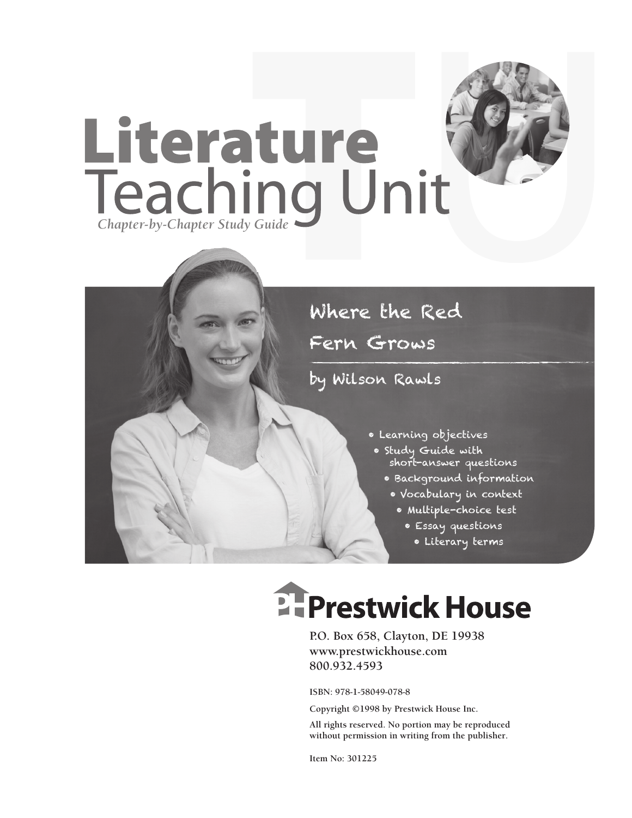



Fern Grows

by Wilson Rawls

- Learning objectives
	- Study Guide with short-answer questions
		- Background information
			- Vocabulary in context
				- Multiple-choice test
					- Essay questions
					- Literary terms

## **Ellergetwick House**

**P.O. Box 658, Clayton, DE 19938 www.prestwickhouse.com 800.932.4593**

**ISBN: 978-1-58049-078-8**

**Copyright ©1998 by Prestwick House Inc.**

**All rights reserved. No portion may be reproduced without permission in writing from the publisher.** 

**Item No: 301225**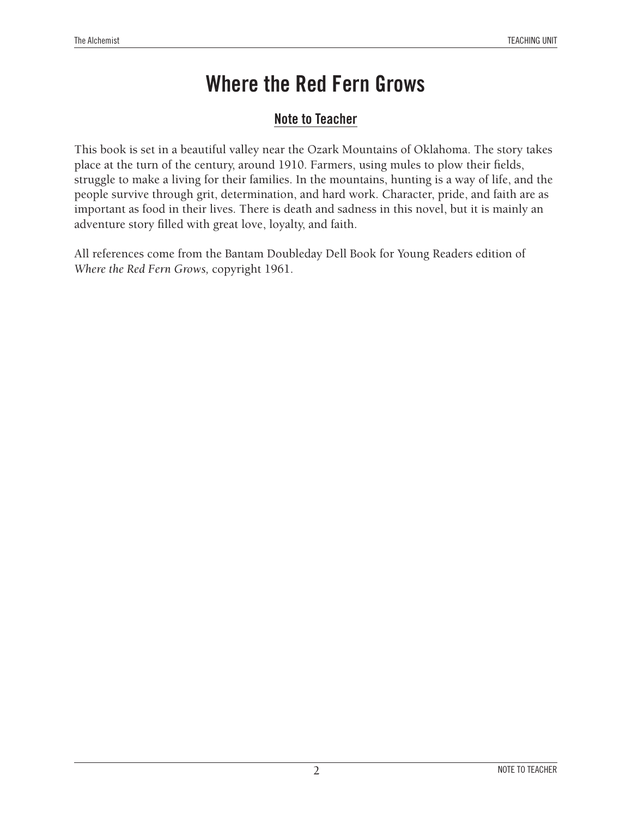## **Note to Teacher**

This book is set in a beautiful valley near the Ozark Mountains of Oklahoma. The story takes place at the turn of the century, around 1910. Farmers, using mules to plow their fields, struggle to make a living for their families. In the mountains, hunting is a way of life, and the people survive through grit, determination, and hard work. Character, pride, and faith are as important as food in their lives. There is death and sadness in this novel, but it is mainly an adventure story filled with great love, loyalty, and faith.

All references come from the Bantam Doubleday Dell Book for Young Readers edition of *Where the Red Fern Grows,* copyright 1961.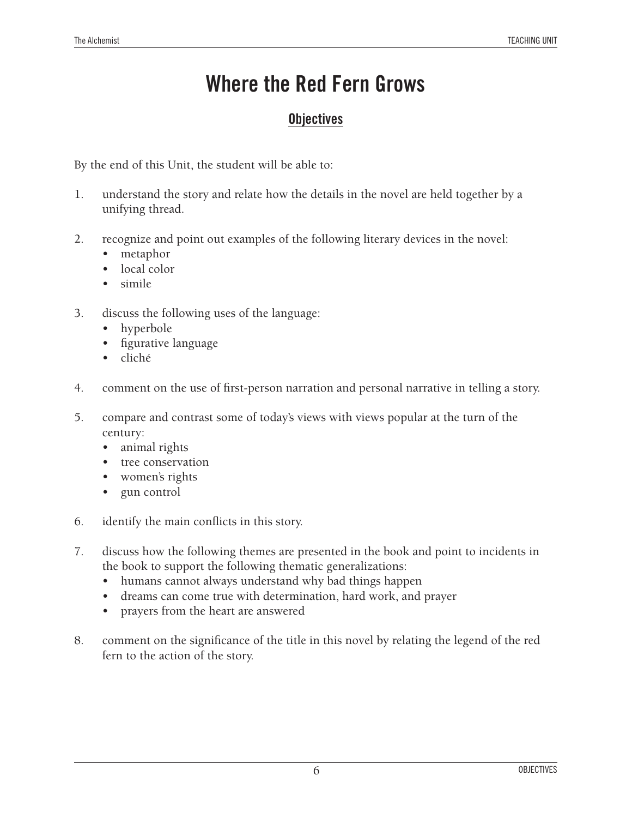## **Objectives**

By the end of this Unit, the student will be able to:

- 1. understand the story and relate how the details in the novel are held together by a unifying thread.
- 2. recognize and point out examples of the following literary devices in the novel:
	- metaphor
	- local color
	- simile
- 3. discuss the following uses of the language:
	- hyperbole
	- • figurative language
	- • cliché
- 4. comment on the use of first-person narration and personal narrative in telling a story.
- 5. compare and contrast some of today's views with views popular at the turn of the century:
	- animal rights
	- tree conservation
	- women's rights
	- gun control
- 6. identify the main conflicts in this story.
- 7. discuss how the following themes are presented in the book and point to incidents in the book to support the following thematic generalizations:
	- humans cannot always understand why bad things happen
	- • dreams can come true with determination, hard work, and prayer
	- prayers from the heart are answered
- 8. comment on the significance of the title in this novel by relating the legend of the red fern to the action of the story.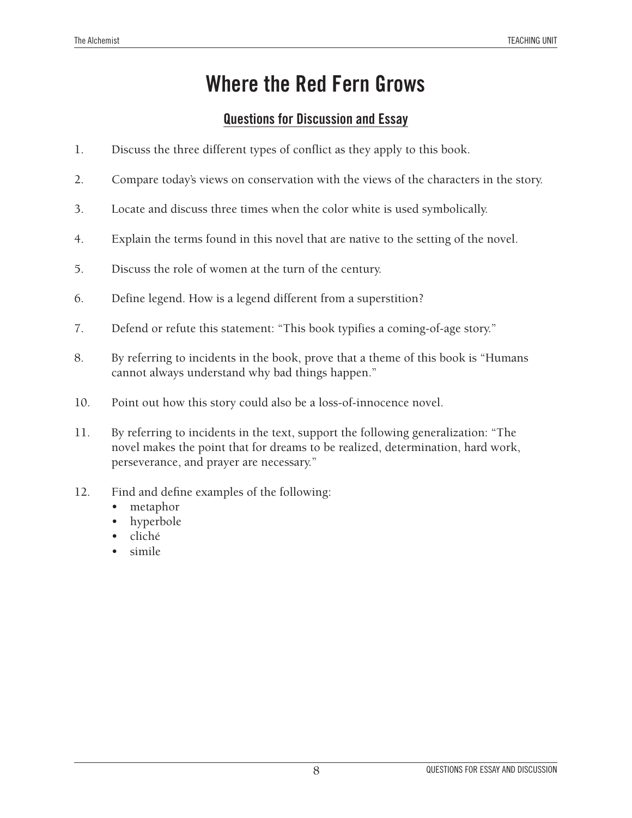## **Questions for Discussion and Essay**

- 1. Discuss the three different types of conflict as they apply to this book.
- 2. Compare today's views on conservation with the views of the characters in the story.
- 3. Locate and discuss three times when the color white is used symbolically.
- 4. Explain the terms found in this novel that are native to the setting of the novel.
- 5. Discuss the role of women at the turn of the century.
- 6. Define legend. How is a legend different from a superstition?
- 7. Defend or refute this statement: "This book typifies a coming-of-age story."
- 8. By referring to incidents in the book, prove that a theme of this book is "Humans cannot always understand why bad things happen."
- 10. Point out how this story could also be a loss-of-innocence novel.
- 11. By referring to incidents in the text, support the following generalization: "The novel makes the point that for dreams to be realized, determination, hard work, perseverance, and prayer are necessary."
- 12. Find and define examples of the following:
	- metaphor
	- hyperbole
	- cliché
	- simile.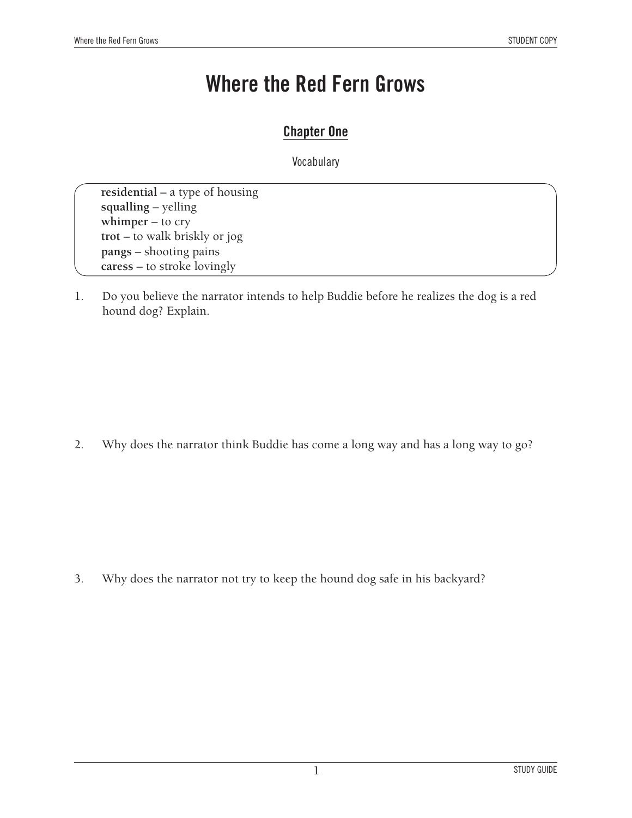#### **Chapter One**

Vocabulary

**residential** – a type of housing **squalling** – yelling **whimper** – to cry **trot** – to walk briskly or jog **pangs** – shooting pains **caress** – to stroke lovingly

1. Do you believe the narrator intends to help Buddie before he realizes the dog is a red hound dog? Explain.

2. Why does the narrator think Buddie has come a long way and has a long way to go?

3. Why does the narrator not try to keep the hound dog safe in his backyard?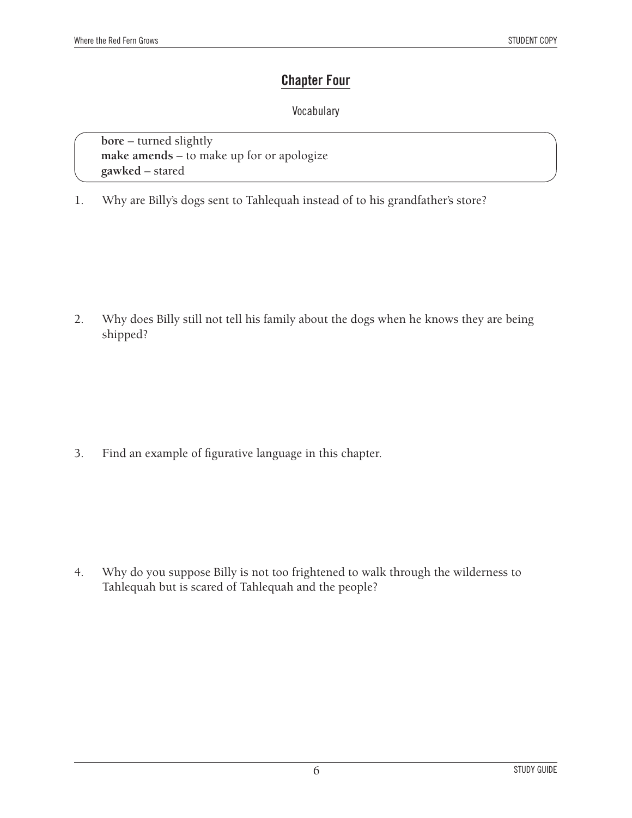#### **Chapter Four**

#### Vocabulary

**bore** – turned slightly **make amends** – to make up for or apologize **gawked** – stared

1. Why are Billy's dogs sent to Tahlequah instead of to his grandfather's store?

2. Why does Billy still not tell his family about the dogs when he knows they are being shipped?

3. Find an example of figurative language in this chapter.

4. Why do you suppose Billy is not too frightened to walk through the wilderness to Tahlequah but is scared of Tahlequah and the people?